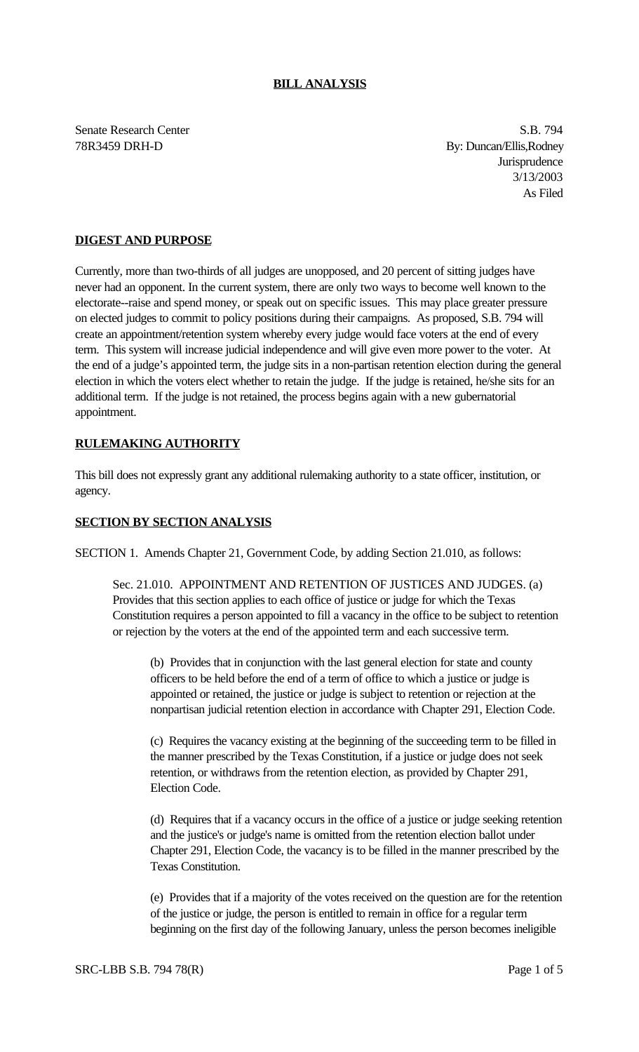### **BILL ANALYSIS**

Senate Research Center S.B. 794

78R3459 DRH-D By: Duncan/Ellis,Rodney Jurisprudence 3/13/2003 As Filed

## **DIGEST AND PURPOSE**

Currently, more than two-thirds of all judges are unopposed, and 20 percent of sitting judges have never had an opponent. In the current system, there are only two ways to become well known to the electorate--raise and spend money, or speak out on specific issues. This may place greater pressure on elected judges to commit to policy positions during their campaigns. As proposed, S.B. 794 will create an appointment/retention system whereby every judge would face voters at the end of every term. This system will increase judicial independence and will give even more power to the voter. At the end of a judge's appointed term, the judge sits in a non-partisan retention election during the general election in which the voters elect whether to retain the judge. If the judge is retained, he/she sits for an additional term. If the judge is not retained, the process begins again with a new gubernatorial appointment.

# **RULEMAKING AUTHORITY**

This bill does not expressly grant any additional rulemaking authority to a state officer, institution, or agency.

### **SECTION BY SECTION ANALYSIS**

SECTION 1. Amends Chapter 21, Government Code, by adding Section 21.010, as follows:

Sec. 21.010. APPOINTMENT AND RETENTION OF JUSTICES AND JUDGES. (a) Provides that this section applies to each office of justice or judge for which the Texas Constitution requires a person appointed to fill a vacancy in the office to be subject to retention or rejection by the voters at the end of the appointed term and each successive term.

(b) Provides that in conjunction with the last general election for state and county officers to be held before the end of a term of office to which a justice or judge is appointed or retained, the justice or judge is subject to retention or rejection at the nonpartisan judicial retention election in accordance with Chapter 291, Election Code.

(c) Requires the vacancy existing at the beginning of the succeeding term to be filled in the manner prescribed by the Texas Constitution, if a justice or judge does not seek retention, or withdraws from the retention election, as provided by Chapter 291, Election Code.

(d) Requires that if a vacancy occurs in the office of a justice or judge seeking retention and the justice's or judge's name is omitted from the retention election ballot under Chapter 291, Election Code, the vacancy is to be filled in the manner prescribed by the Texas Constitution.

(e) Provides that if a majority of the votes received on the question are for the retention of the justice or judge, the person is entitled to remain in office for a regular term beginning on the first day of the following January, unless the person becomes ineligible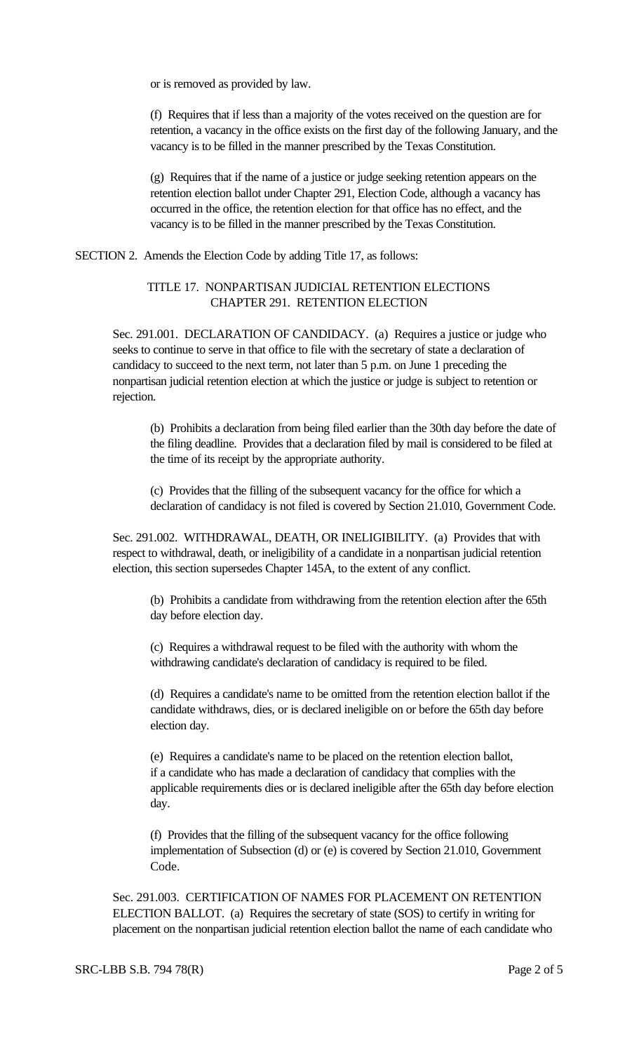or is removed as provided by law.

(f) Requires that if less than a majority of the votes received on the question are for retention, a vacancy in the office exists on the first day of the following January, and the vacancy is to be filled in the manner prescribed by the Texas Constitution.

(g) Requires that if the name of a justice or judge seeking retention appears on the retention election ballot under Chapter 291, Election Code, although a vacancy has occurred in the office, the retention election for that office has no effect, and the vacancy is to be filled in the manner prescribed by the Texas Constitution.

SECTION 2. Amends the Election Code by adding Title 17, as follows:

## TITLE 17. NONPARTISAN JUDICIAL RETENTION ELECTIONS CHAPTER 291. RETENTION ELECTION

Sec. 291.001. DECLARATION OF CANDIDACY. (a) Requires a justice or judge who seeks to continue to serve in that office to file with the secretary of state a declaration of candidacy to succeed to the next term, not later than 5 p.m. on June 1 preceding the nonpartisan judicial retention election at which the justice or judge is subject to retention or rejection.

(b) Prohibits a declaration from being filed earlier than the 30th day before the date of the filing deadline. Provides that a declaration filed by mail is considered to be filed at the time of its receipt by the appropriate authority.

(c) Provides that the filling of the subsequent vacancy for the office for which a declaration of candidacy is not filed is covered by Section 21.010, Government Code.

Sec. 291.002. WITHDRAWAL, DEATH, OR INELIGIBILITY. (a) Provides that with respect to withdrawal, death, or ineligibility of a candidate in a nonpartisan judicial retention election, this section supersedes Chapter 145A, to the extent of any conflict.

(b) Prohibits a candidate from withdrawing from the retention election after the 65th day before election day.

(c) Requires a withdrawal request to be filed with the authority with whom the withdrawing candidate's declaration of candidacy is required to be filed.

(d) Requires a candidate's name to be omitted from the retention election ballot if the candidate withdraws, dies, or is declared ineligible on or before the 65th day before election day.

(e) Requires a candidate's name to be placed on the retention election ballot, if a candidate who has made a declaration of candidacy that complies with the applicable requirements dies or is declared ineligible after the 65th day before election day.

(f) Provides that the filling of the subsequent vacancy for the office following implementation of Subsection (d) or (e) is covered by Section 21.010, Government Code.

Sec. 291.003. CERTIFICATION OF NAMES FOR PLACEMENT ON RETENTION ELECTION BALLOT. (a) Requires the secretary of state (SOS) to certify in writing for placement on the nonpartisan judicial retention election ballot the name of each candidate who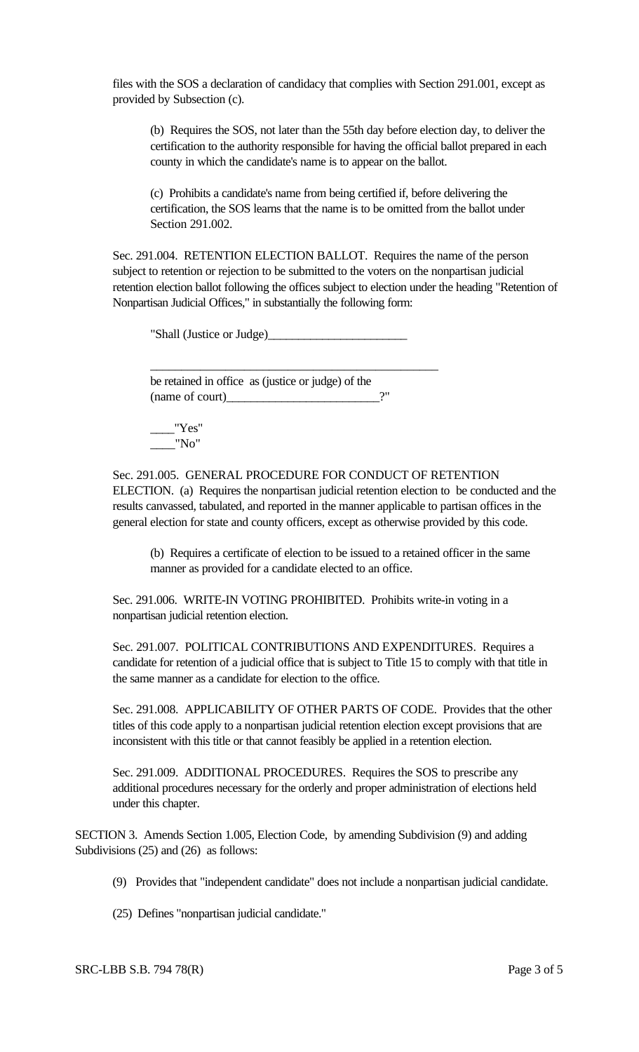files with the SOS a declaration of candidacy that complies with Section 291.001, except as provided by Subsection (c).

(b) Requires the SOS, not later than the 55th day before election day, to deliver the certification to the authority responsible for having the official ballot prepared in each county in which the candidate's name is to appear on the ballot.

(c) Prohibits a candidate's name from being certified if, before delivering the certification, the SOS learns that the name is to be omitted from the ballot under Section 291.002.

Sec. 291.004. RETENTION ELECTION BALLOT. Requires the name of the person subject to retention or rejection to be submitted to the voters on the nonpartisan judicial retention election ballot following the offices subject to election under the heading "Retention of Nonpartisan Judicial Offices," in substantially the following form:

"Shall (Justice or Judge)\_\_\_\_\_\_\_\_\_\_\_\_\_\_\_\_\_\_\_\_\_\_\_

\_\_\_\_\_\_\_\_\_\_\_\_\_\_\_\_\_\_\_\_\_\_\_\_\_\_\_\_\_\_\_\_\_\_\_\_\_\_\_\_\_\_\_\_\_\_

be retained in office as (justice or judge) of the  $(name of court)$   $?''$ 

"Yes"  $\frac{1}{\sqrt{2}}$ "No"

Sec. 291.005. GENERAL PROCEDURE FOR CONDUCT OF RETENTION ELECTION. (a) Requires the nonpartisan judicial retention election to be conducted and the results canvassed, tabulated, and reported in the manner applicable to partisan offices in the general election for state and county officers, except as otherwise provided by this code.

(b) Requires a certificate of election to be issued to a retained officer in the same manner as provided for a candidate elected to an office.

Sec. 291.006. WRITE-IN VOTING PROHIBITED. Prohibits write-in voting in a nonpartisan judicial retention election.

Sec. 291.007. POLITICAL CONTRIBUTIONS AND EXPENDITURES. Requires a candidate for retention of a judicial office that is subject to Title 15 to comply with that title in the same manner as a candidate for election to the office.

Sec. 291.008. APPLICABILITY OF OTHER PARTS OF CODE. Provides that the other titles of this code apply to a nonpartisan judicial retention election except provisions that are inconsistent with this title or that cannot feasibly be applied in a retention election.

Sec. 291.009. ADDITIONAL PROCEDURES. Requires the SOS to prescribe any additional procedures necessary for the orderly and proper administration of elections held under this chapter.

SECTION 3. Amends Section 1.005, Election Code, by amending Subdivision (9) and adding Subdivisions (25) and (26) as follows:

- (9) Provides that "independent candidate" does not include a nonpartisan judicial candidate.
- (25) Defines "nonpartisan judicial candidate."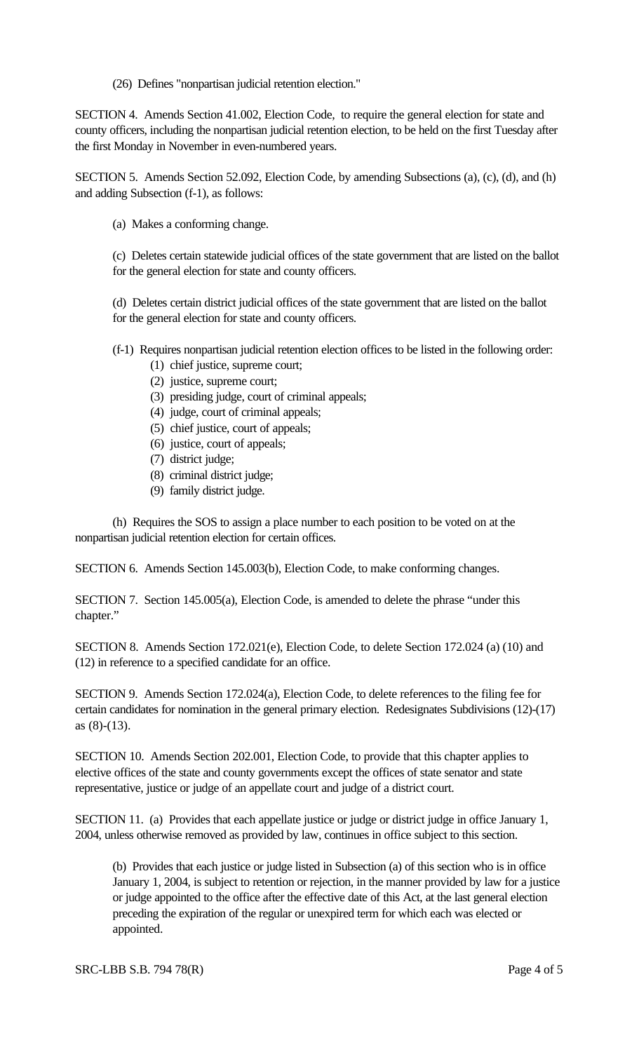(26) Defines "nonpartisan judicial retention election."

SECTION 4. Amends Section 41.002, Election Code, to require the general election for state and county officers, including the nonpartisan judicial retention election, to be held on the first Tuesday after the first Monday in November in even-numbered years.

SECTION 5. Amends Section 52.092, Election Code, by amending Subsections (a), (c), (d), and (h) and adding Subsection (f-1), as follows:

(a) Makes a conforming change.

(c) Deletes certain statewide judicial offices of the state government that are listed on the ballot for the general election for state and county officers.

(d) Deletes certain district judicial offices of the state government that are listed on the ballot for the general election for state and county officers.

- (f-1) Requires nonpartisan judicial retention election offices to be listed in the following order:
	- (1) chief justice, supreme court;
	- (2) justice, supreme court;
	- (3) presiding judge, court of criminal appeals;
	- (4) judge, court of criminal appeals;
	- (5) chief justice, court of appeals;
	- (6) justice, court of appeals;
	- (7) district judge;
	- (8) criminal district judge;
	- (9) family district judge.

(h) Requires the SOS to assign a place number to each position to be voted on at the nonpartisan judicial retention election for certain offices.

SECTION 6. Amends Section 145.003(b), Election Code, to make conforming changes.

SECTION 7. Section 145.005(a), Election Code, is amended to delete the phrase "under this chapter."

SECTION 8. Amends Section 172.021(e), Election Code, to delete Section 172.024 (a) (10) and (12) in reference to a specified candidate for an office.

SECTION 9. Amends Section 172.024(a), Election Code, to delete references to the filing fee for certain candidates for nomination in the general primary election. Redesignates Subdivisions (12)-(17) as (8)-(13).

SECTION 10. Amends Section 202.001, Election Code, to provide that this chapter applies to elective offices of the state and county governments except the offices of state senator and state representative, justice or judge of an appellate court and judge of a district court.

SECTION 11. (a) Provides that each appellate justice or judge or district judge in office January 1, 2004, unless otherwise removed as provided by law, continues in office subject to this section.

(b) Provides that each justice or judge listed in Subsection (a) of this section who is in office January 1, 2004, is subject to retention or rejection, in the manner provided by law for a justice or judge appointed to the office after the effective date of this Act, at the last general election preceding the expiration of the regular or unexpired term for which each was elected or appointed.